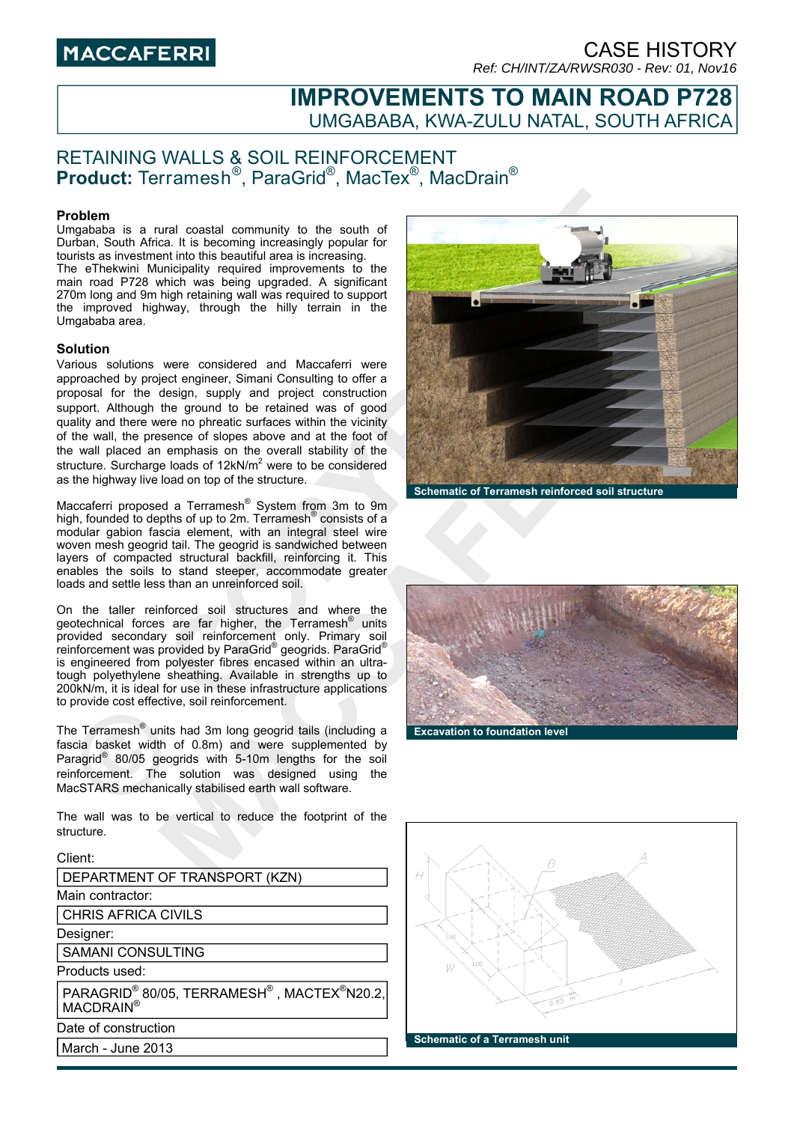# **MACCAFERRI**

### CASE HISTORY *Ref: CH/INT/ZA/RWSR030 - Rev: 01, Nov16*

## **IMPROVEMENTS TO MAIN ROAD P728**  UMGABABA, KWA-ZULU NATAL, SOUTH AFRICA

## RETAINING WALLS & SOIL REINFORCEMENT **Product:** Terramesh®, ParaGrid®, MacTex®, MacDrain®

### **Problem**

Umgababa is a rural coastal community to the south of Durban, South Africa. It is becoming increasingly popular for tourists as investment into this beautiful area is increasing. The eThekwini Municipality required improvements to the main road P728 which was being upgraded. A significant 270m long and 9m high retaining wall was required to support the improved highway, through the hilly terrain in the Umgababa area.

#### **Solution**

Various solutions were considered and Maccaferri were approached by project engineer, Simani Consulting to offer a proposal for the design, supply and project construction support. Although the ground to be retained was of good quality and there were no phreatic surfaces within the vicinity of the wall, the presence of slopes above and at the foot of the wall placed an emphasis on the overall stability of the structure. Surcharge loads of 12kN/m<sup>2</sup> were to be considered as the highway live load on top of the structure.

Maccaferri proposed a Terramesh® System from 3m to 9m high, founded to depths of up to 2m. Terramesh<sup>®</sup> consists of a modular gabion fascia element, with an integral steel wire woven mesh geogrid tail. The geogrid is sandwiched between layers of compacted structural backfill, reinforcing it. This enables the soils to stand steeper, accommodate greater loads and settle less than an unreinforced soil.

On the taller reinforced soil structures and where the geotechnical forces are far higher, the Terramesh<sup>®</sup> units provided secondary soil reinforcement only. Primary soil reinforcement was provided by ParaGrid® geogrids. ParaGrid® is engineered from polyester fibres encased within an ultratough polyethylene sheathing. Available in strengths up to 200kN/m, it is ideal for use in these infrastructure applications to provide cost effective, soil reinforcement.

The Terramesh® units had 3m long geogrid tails (including a fascia basket width of 0.8m) and were supplemented by Paragrid<sup>®</sup> 80/05 geogrids with 5-10m lengths for the soil reinforcement. The solution was designed using the MacSTARS mechanically stabilised earth wall software.

The wall was to be vertical to reduce the footprint of the structure.





**Schematic of Terramesh reinforced soil structure**